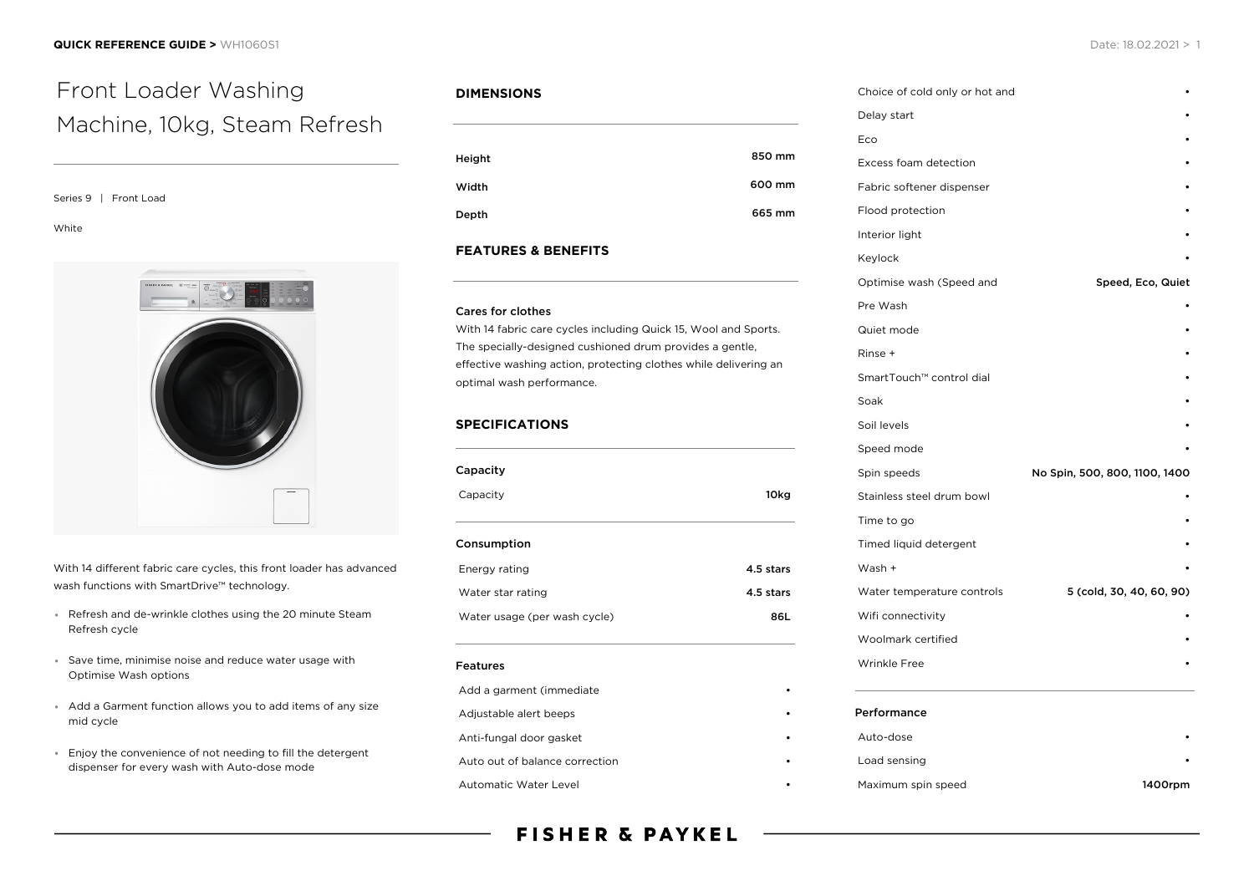## Front Loader Washing Machine, 10kg, Steam Refresh

### Series 9 | Front Load

### White



With 14 different fabric care cycles, this front loader has advanced wash functions with SmartDrive™ technology.

- Refresh and de-wrinkle clothes using the 20 minute Steam Refresh cycle
- Save time, minimise noise and reduce water usage with Optimise Wash options
- Add a Garment function allows you to add items of any size mid cycle
- Enjoy the convenience of not needing to fill the detergent dispenser for every wash with Auto-dose mode

### **DIMENSIONS**

| Height | 850 mm |
|--------|--------|
| Width  | 600 mm |
| Depth  | 665 mm |

### **FEATURES & BENEFITS**

### Cares for clothes

With 14 fabric care cycles including Quick 15, Wool and Sports. The specially-designed cushioned drum provides a gentle, effective washing action, protecting clothes while delivering an optimal wash performance.

### **SPECIFICATIONS**

| Capacity                       |           |  |
|--------------------------------|-----------|--|
| Capacity                       | 10kg      |  |
| Consumption                    |           |  |
| Energy rating                  | 4.5 stars |  |
| Water star rating              | 4.5 stars |  |
| Water usage (per wash cycle)   | 86L       |  |
| Features                       |           |  |
| Add a garment (immediate       |           |  |
| Adjustable alert beeps         |           |  |
| Anti-fungal door gasket        |           |  |
| Auto out of balance correction |           |  |
| Automatic Water Level          |           |  |

### **FISHER & PAYKEL**

| Choice of cold only or hot and |                               |
|--------------------------------|-------------------------------|
| Delay start                    |                               |
| Eco                            |                               |
| Excess foam detection          |                               |
| Fabric softener dispenser      |                               |
| Flood protection               |                               |
| Interior light                 |                               |
| Keylock                        |                               |
| Optimise wash (Speed and       | Speed, Eco, Quiet             |
| Pre Wash                       |                               |
| Quiet mode                     |                               |
| Rinse +                        |                               |
| SmartTouch™ control dial       |                               |
| Soak                           |                               |
| Soil levels                    |                               |
| Speed mode                     |                               |
| Spin speeds                    | No Spin, 500, 800, 1100, 1400 |
| Stainless steel drum bowl      |                               |
| Time to go                     |                               |
| Timed liquid detergent         |                               |
| Wash +                         |                               |
| Water temperature controls     | 5 (cold, 30, 40, 60, 90)      |
| Wifi connectivity              |                               |
| Woolmark certified             |                               |
| <b>Wrinkle Free</b>            |                               |
| Performance                    |                               |
| Auto-dose                      |                               |
| Load sensing                   |                               |
| Maximum spin speed             | 1400rpm                       |